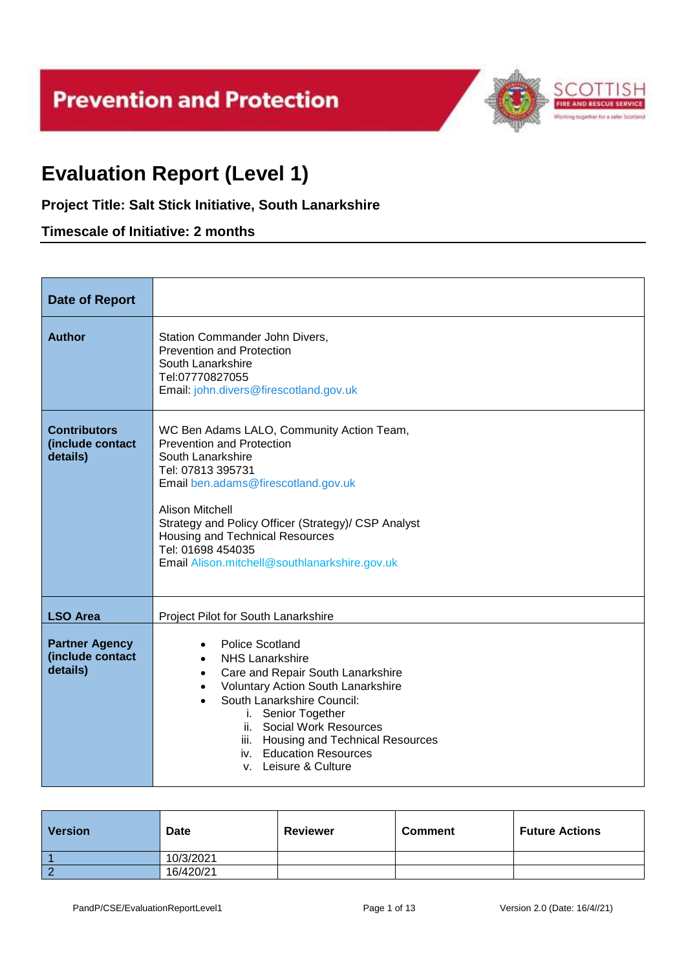# **Prevention and Protection**



# **Evaluation Report (Level 1)**

## **Project Title: Salt Stick Initiative, South Lanarkshire**

### **Timescale of Initiative: 2 months**

| <b>Date of Report</b>                                 |                                                                                                                                                                                                                                                                                                                                                                 |
|-------------------------------------------------------|-----------------------------------------------------------------------------------------------------------------------------------------------------------------------------------------------------------------------------------------------------------------------------------------------------------------------------------------------------------------|
| <b>Author</b>                                         | Station Commander John Divers,<br><b>Prevention and Protection</b><br>South Lanarkshire<br>Tel:07770827055<br>Email: john.divers@firescotland.gov.uk                                                                                                                                                                                                            |
| <b>Contributors</b><br>(include contact<br>details)   | WC Ben Adams LALO, Community Action Team,<br><b>Prevention and Protection</b><br>South Lanarkshire<br>Tel: 07813 395731<br>Email ben.adams@firescotland.gov.uk<br><b>Alison Mitchell</b><br>Strategy and Policy Officer (Strategy)/ CSP Analyst<br><b>Housing and Technical Resources</b><br>Tel: 01698 454035<br>Email Alison.mitchell@southlanarkshire.gov.uk |
| <b>LSO Area</b>                                       | Project Pilot for South Lanarkshire                                                                                                                                                                                                                                                                                                                             |
| <b>Partner Agency</b><br>(include contact<br>details) | <b>Police Scotland</b><br><b>NHS Lanarkshire</b><br>Care and Repair South Lanarkshire<br>$\bullet$<br><b>Voluntary Action South Lanarkshire</b><br>South Lanarkshire Council:<br>i. Senior Together<br>ii. Social Work Resources<br>iii. Housing and Technical Resources<br>iv. Education Resources<br>v. Leisure & Culture                                     |

| <b>Version</b> | <b>Date</b> | <b>Reviewer</b> | <b>Comment</b> | <b>Future Actions</b> |
|----------------|-------------|-----------------|----------------|-----------------------|
|                | 10/3/2021   |                 |                |                       |
|                | 16/420/21   |                 |                |                       |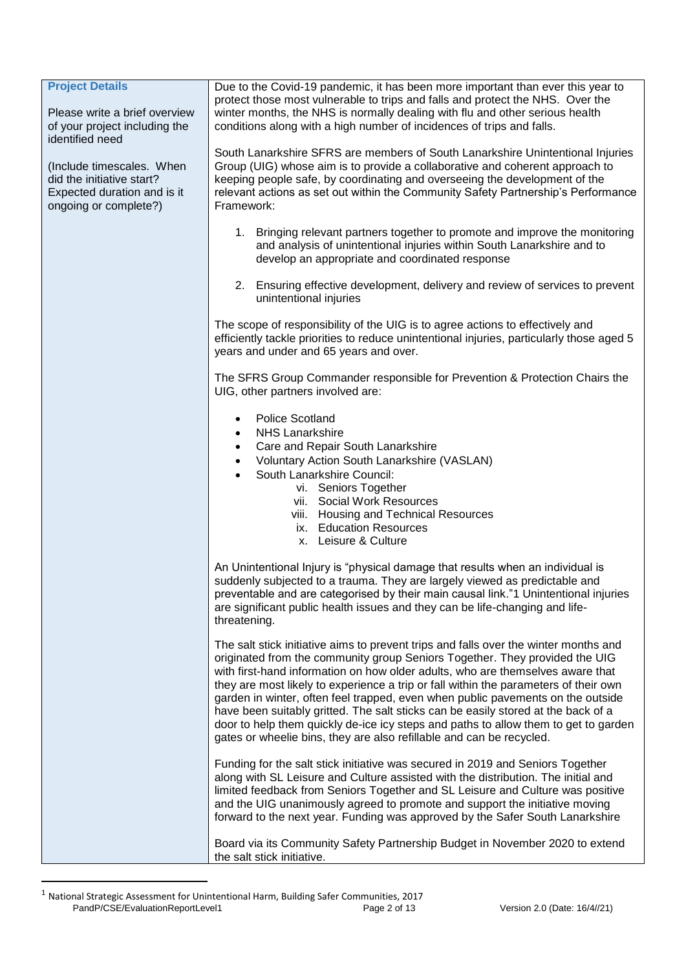| <b>Project Details</b><br>Please write a brief overview<br>of your project including the<br>identified need    | Due to the Covid-19 pandemic, it has been more important than ever this year to<br>protect those most vulnerable to trips and falls and protect the NHS. Over the<br>winter months, the NHS is normally dealing with flu and other serious health<br>conditions along with a high number of incidences of trips and falls.<br>South Lanarkshire SFRS are members of South Lanarkshire Unintentional Injuries                                                                                                                                                                                                                                                                         |
|----------------------------------------------------------------------------------------------------------------|--------------------------------------------------------------------------------------------------------------------------------------------------------------------------------------------------------------------------------------------------------------------------------------------------------------------------------------------------------------------------------------------------------------------------------------------------------------------------------------------------------------------------------------------------------------------------------------------------------------------------------------------------------------------------------------|
| (Include timescales. When<br>did the initiative start?<br>Expected duration and is it<br>ongoing or complete?) | Group (UIG) whose aim is to provide a collaborative and coherent approach to<br>keeping people safe, by coordinating and overseeing the development of the<br>relevant actions as set out within the Community Safety Partnership's Performance<br>Framework:                                                                                                                                                                                                                                                                                                                                                                                                                        |
|                                                                                                                | 1. Bringing relevant partners together to promote and improve the monitoring<br>and analysis of unintentional injuries within South Lanarkshire and to<br>develop an appropriate and coordinated response                                                                                                                                                                                                                                                                                                                                                                                                                                                                            |
|                                                                                                                | 2. Ensuring effective development, delivery and review of services to prevent<br>unintentional injuries                                                                                                                                                                                                                                                                                                                                                                                                                                                                                                                                                                              |
|                                                                                                                | The scope of responsibility of the UIG is to agree actions to effectively and<br>efficiently tackle priorities to reduce unintentional injuries, particularly those aged 5<br>years and under and 65 years and over.                                                                                                                                                                                                                                                                                                                                                                                                                                                                 |
|                                                                                                                | The SFRS Group Commander responsible for Prevention & Protection Chairs the<br>UIG, other partners involved are:                                                                                                                                                                                                                                                                                                                                                                                                                                                                                                                                                                     |
|                                                                                                                | <b>Police Scotland</b><br><b>NHS Lanarkshire</b><br>$\bullet$<br>Care and Repair South Lanarkshire<br>٠<br>Voluntary Action South Lanarkshire (VASLAN)<br>$\bullet$<br>South Lanarkshire Council:<br>$\bullet$<br>vi. Seniors Together<br>vii. Social Work Resources<br>viii. Housing and Technical Resources<br>ix. Education Resources<br>x. Leisure & Culture                                                                                                                                                                                                                                                                                                                     |
|                                                                                                                | An Unintentional Injury is "physical damage that results when an individual is<br>suddenly subjected to a trauma. They are largely viewed as predictable and<br>preventable and are categorised by their main causal link."1 Unintentional injuries<br>are significant public health issues and they can be life-changing and life-<br>threatening.                                                                                                                                                                                                                                                                                                                                  |
|                                                                                                                | The salt stick initiative aims to prevent trips and falls over the winter months and<br>originated from the community group Seniors Together. They provided the UIG<br>with first-hand information on how older adults, who are themselves aware that<br>they are most likely to experience a trip or fall within the parameters of their own<br>garden in winter, often feel trapped, even when public pavements on the outside<br>have been suitably gritted. The salt sticks can be easily stored at the back of a<br>door to help them quickly de-ice icy steps and paths to allow them to get to garden<br>gates or wheelie bins, they are also refillable and can be recycled. |
|                                                                                                                | Funding for the salt stick initiative was secured in 2019 and Seniors Together<br>along with SL Leisure and Culture assisted with the distribution. The initial and<br>limited feedback from Seniors Together and SL Leisure and Culture was positive<br>and the UIG unanimously agreed to promote and support the initiative moving<br>forward to the next year. Funding was approved by the Safer South Lanarkshire                                                                                                                                                                                                                                                                |
|                                                                                                                | Board via its Community Safety Partnership Budget in November 2020 to extend<br>the salt stick initiative.                                                                                                                                                                                                                                                                                                                                                                                                                                                                                                                                                                           |

**.** 

PandP/CSE/EvaluationReportLevel1 **Page 2 of 13** Version 2.0 (Date: 16/4//21)  $<sup>1</sup>$  National Strategic Assessment for Unintentional Harm, Building Safer Communities, 2017</sup>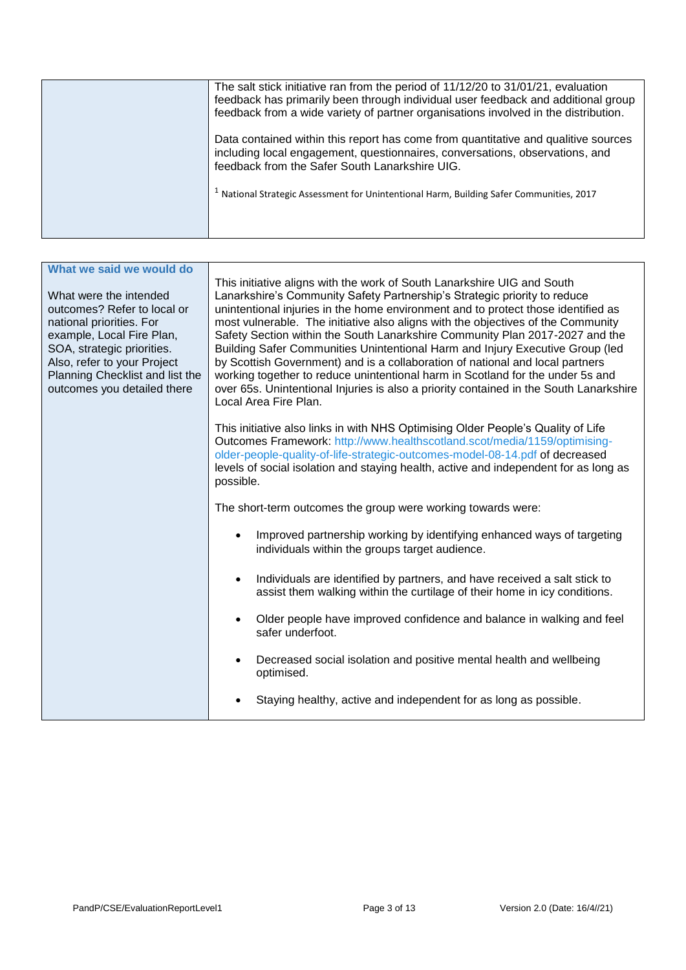| The salt stick initiative ran from the period of 11/12/20 to 31/01/21, evaluation<br>feedback has primarily been through individual user feedback and additional group<br>feedback from a wide variety of partner organisations involved in the distribution. |
|---------------------------------------------------------------------------------------------------------------------------------------------------------------------------------------------------------------------------------------------------------------|
| Data contained within this report has come from quantitative and qualitive sources<br>including local engagement, questionnaires, conversations, observations, and<br>feedback from the Safer South Lanarkshire UIG.                                          |
| <sup>1</sup> National Strategic Assessment for Unintentional Harm, Building Safer Communities, 2017                                                                                                                                                           |
|                                                                                                                                                                                                                                                               |

| What we said we would do<br>What were the intended<br>outcomes? Refer to local or<br>national priorities. For<br>example, Local Fire Plan,<br>SOA, strategic priorities.<br>Also, refer to your Project<br>Planning Checklist and list the<br>outcomes you detailed there | This initiative aligns with the work of South Lanarkshire UIG and South<br>Lanarkshire's Community Safety Partnership's Strategic priority to reduce<br>unintentional injuries in the home environment and to protect those identified as<br>most vulnerable. The initiative also aligns with the objectives of the Community<br>Safety Section within the South Lanarkshire Community Plan 2017-2027 and the<br>Building Safer Communities Unintentional Harm and Injury Executive Group (led<br>by Scottish Government) and is a collaboration of national and local partners<br>working together to reduce unintentional harm in Scotland for the under 5s and<br>over 65s. Unintentional Injuries is also a priority contained in the South Lanarkshire<br>Local Area Fire Plan. |
|---------------------------------------------------------------------------------------------------------------------------------------------------------------------------------------------------------------------------------------------------------------------------|--------------------------------------------------------------------------------------------------------------------------------------------------------------------------------------------------------------------------------------------------------------------------------------------------------------------------------------------------------------------------------------------------------------------------------------------------------------------------------------------------------------------------------------------------------------------------------------------------------------------------------------------------------------------------------------------------------------------------------------------------------------------------------------|
|                                                                                                                                                                                                                                                                           | This initiative also links in with NHS Optimising Older People's Quality of Life<br>Outcomes Framework: http://www.healthscotland.scot/media/1159/optimising-<br>older-people-quality-of-life-strategic-outcomes-model-08-14.pdf of decreased<br>levels of social isolation and staying health, active and independent for as long as<br>possible.                                                                                                                                                                                                                                                                                                                                                                                                                                   |
|                                                                                                                                                                                                                                                                           | The short-term outcomes the group were working towards were:                                                                                                                                                                                                                                                                                                                                                                                                                                                                                                                                                                                                                                                                                                                         |
|                                                                                                                                                                                                                                                                           | Improved partnership working by identifying enhanced ways of targeting<br>$\bullet$<br>individuals within the groups target audience.                                                                                                                                                                                                                                                                                                                                                                                                                                                                                                                                                                                                                                                |
|                                                                                                                                                                                                                                                                           | Individuals are identified by partners, and have received a salt stick to<br>$\bullet$<br>assist them walking within the curtilage of their home in icy conditions.                                                                                                                                                                                                                                                                                                                                                                                                                                                                                                                                                                                                                  |
|                                                                                                                                                                                                                                                                           | Older people have improved confidence and balance in walking and feel<br>$\bullet$<br>safer underfoot.                                                                                                                                                                                                                                                                                                                                                                                                                                                                                                                                                                                                                                                                               |
|                                                                                                                                                                                                                                                                           | Decreased social isolation and positive mental health and wellbeing<br>$\bullet$<br>optimised.                                                                                                                                                                                                                                                                                                                                                                                                                                                                                                                                                                                                                                                                                       |
|                                                                                                                                                                                                                                                                           | Staying healthy, active and independent for as long as possible.                                                                                                                                                                                                                                                                                                                                                                                                                                                                                                                                                                                                                                                                                                                     |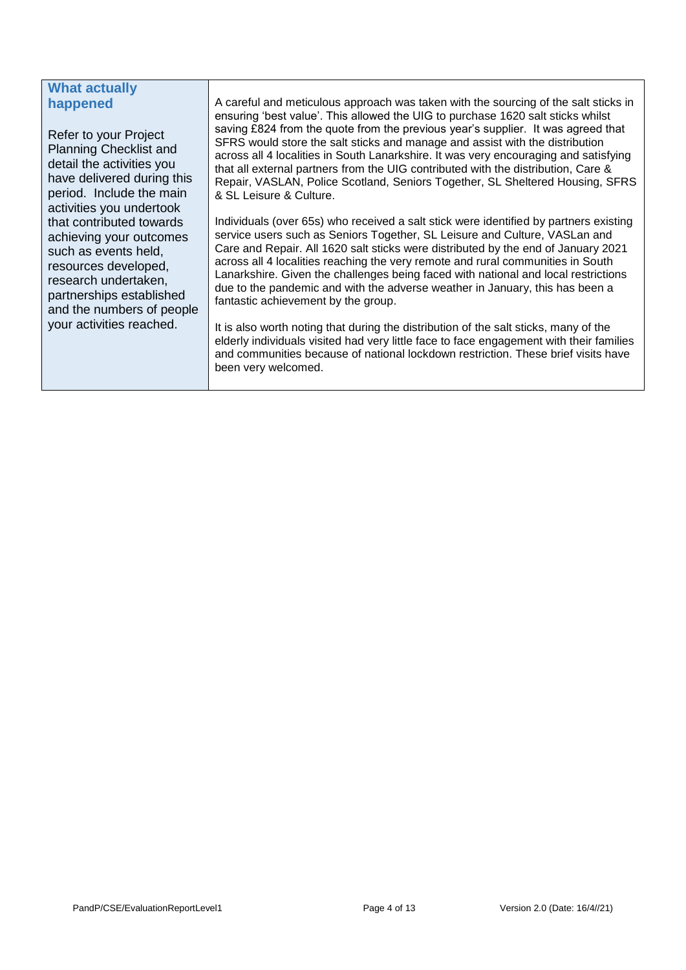### **What actually happened**

Refer to your Project Planning Checklist and detail the activities you have delivered during this period. Include the main activities you undertook that contributed towards achieving your outcomes such as events held, resources developed, research undertaken, partnerships established and the numbers of people your activities reached.

A careful and meticulous approach was taken with the sourcing of the salt sticks in ensuring 'best value'. This allowed the UIG to purchase 1620 salt sticks whilst saving £824 from the quote from the previous year's supplier. It was agreed that SFRS would store the salt sticks and manage and assist with the distribution across all 4 localities in South Lanarkshire. It was very encouraging and satisfying that all external partners from the UIG contributed with the distribution, Care & Repair, VASLAN, Police Scotland, Seniors Together, SL Sheltered Housing, SFRS & SL Leisure & Culture.

Individuals (over 65s) who received a salt stick were identified by partners existing service users such as Seniors Together, SL Leisure and Culture, VASLan and Care and Repair. All 1620 salt sticks were distributed by the end of January 2021 across all 4 localities reaching the very remote and rural communities in South Lanarkshire. Given the challenges being faced with national and local restrictions due to the pandemic and with the adverse weather in January, this has been a fantastic achievement by the group.

It is also worth noting that during the distribution of the salt sticks, many of the elderly individuals visited had very little face to face engagement with their families and communities because of national lockdown restriction. These brief visits have been very welcomed.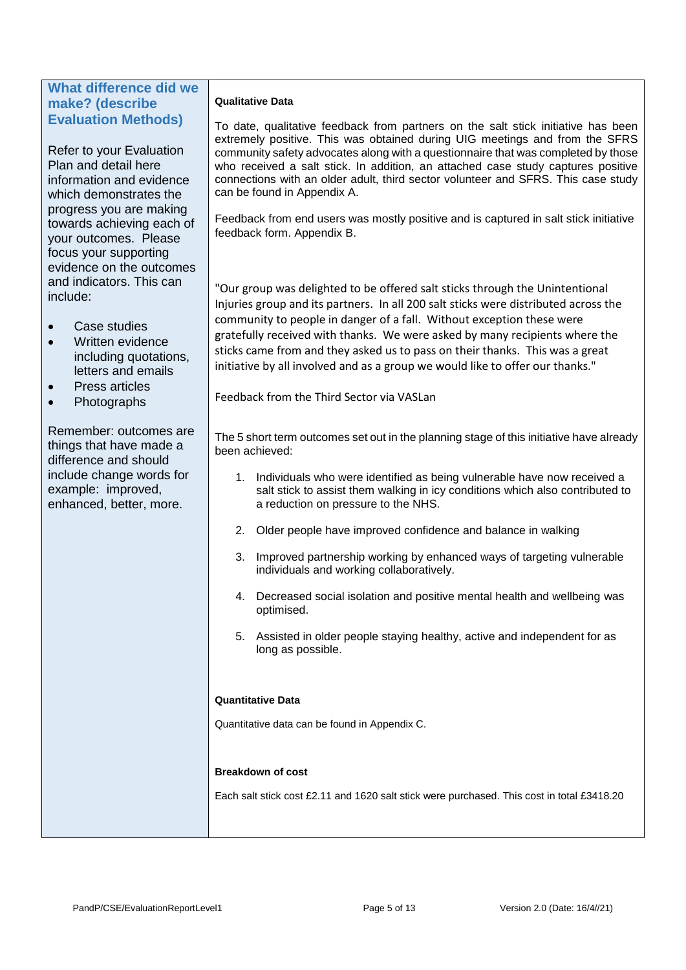### **What difference did we make? (describe Evaluation Methods)**

Refer to your Evaluation Plan and detail here information and evidence which demonstrates the progress you are making towards achieving each of your outcomes. Please focus your supporting evidence on the outcomes and indicators. This can include:

- Case studies
- Written evidence including quotations, letters and emails
- Press articles
- **Photographs**

Remember: outcomes are things that have made a difference and should include change words for example: improved, enhanced, better, more.

#### **Qualitative Data**

To date, qualitative feedback from partners on the salt stick initiative has been extremely positive. This was obtained during UIG meetings and from the SFRS community safety advocates along with a questionnaire that was completed by those who received a salt stick. In addition, an attached case study captures positive connections with an older adult, third sector volunteer and SFRS. This case study can be found in Appendix A.

Feedback from end users was mostly positive and is captured in salt stick initiative feedback form. Appendix B.

"Our group was delighted to be offered salt sticks through the Unintentional Injuries group and its partners. In all 200 salt sticks were distributed across the community to people in danger of a fall. Without exception these were gratefully received with thanks. We were asked by many recipients where the sticks came from and they asked us to pass on their thanks. This was a great initiative by all involved and as a group we would like to offer our thanks."

Feedback from the Third Sector via VASLan

The 5 short term outcomes set out in the planning stage of this initiative have already been achieved:

- 1. Individuals who were identified as being vulnerable have now received a salt stick to assist them walking in icy conditions which also contributed to a reduction on pressure to the NHS.
- 2. Older people have improved confidence and balance in walking
- 3. Improved partnership working by enhanced ways of targeting vulnerable individuals and working collaboratively.
- 4. Decreased social isolation and positive mental health and wellbeing was optimised.
- 5. Assisted in older people staying healthy, active and independent for as long as possible.

#### **Quantitative Data**

Quantitative data can be found in Appendix C.

#### **Breakdown of cost**

Each salt stick cost £2.11 and 1620 salt stick were purchased. This cost in total £3418.20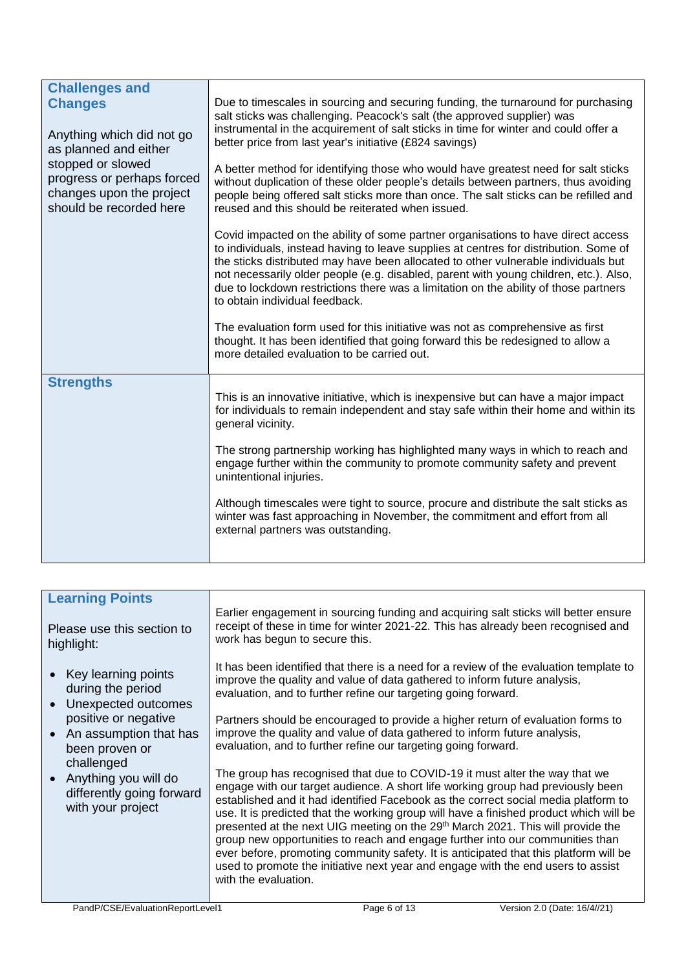| <b>Challenges and</b>                                                                                  |                                                                                                                                                                                                                                                                                                                                                                                                                                                                                     |
|--------------------------------------------------------------------------------------------------------|-------------------------------------------------------------------------------------------------------------------------------------------------------------------------------------------------------------------------------------------------------------------------------------------------------------------------------------------------------------------------------------------------------------------------------------------------------------------------------------|
| <b>Changes</b>                                                                                         | Due to timescales in sourcing and securing funding, the turnaround for purchasing<br>salt sticks was challenging. Peacock's salt (the approved supplier) was                                                                                                                                                                                                                                                                                                                        |
| Anything which did not go<br>as planned and either                                                     | instrumental in the acquirement of salt sticks in time for winter and could offer a<br>better price from last year's initiative (£824 savings)                                                                                                                                                                                                                                                                                                                                      |
| stopped or slowed<br>progress or perhaps forced<br>changes upon the project<br>should be recorded here | A better method for identifying those who would have greatest need for salt sticks<br>without duplication of these older people's details between partners, thus avoiding<br>people being offered salt sticks more than once. The salt sticks can be refilled and<br>reused and this should be reiterated when issued.                                                                                                                                                              |
|                                                                                                        | Covid impacted on the ability of some partner organisations to have direct access<br>to individuals, instead having to leave supplies at centres for distribution. Some of<br>the sticks distributed may have been allocated to other vulnerable individuals but<br>not necessarily older people (e.g. disabled, parent with young children, etc.). Also,<br>due to lockdown restrictions there was a limitation on the ability of those partners<br>to obtain individual feedback. |
|                                                                                                        | The evaluation form used for this initiative was not as comprehensive as first<br>thought. It has been identified that going forward this be redesigned to allow a<br>more detailed evaluation to be carried out.                                                                                                                                                                                                                                                                   |
| <b>Strengths</b>                                                                                       |                                                                                                                                                                                                                                                                                                                                                                                                                                                                                     |
|                                                                                                        | This is an innovative initiative, which is inexpensive but can have a major impact<br>for individuals to remain independent and stay safe within their home and within its<br>general vicinity.                                                                                                                                                                                                                                                                                     |
|                                                                                                        | The strong partnership working has highlighted many ways in which to reach and<br>engage further within the community to promote community safety and prevent<br>unintentional injuries.                                                                                                                                                                                                                                                                                            |
|                                                                                                        | Although timescales were tight to source, procure and distribute the salt sticks as<br>winter was fast approaching in November, the commitment and effort from all<br>external partners was outstanding.                                                                                                                                                                                                                                                                            |
|                                                                                                        |                                                                                                                                                                                                                                                                                                                                                                                                                                                                                     |

| <b>Learning Points</b>                                                                 |                                                                                                                                                                                                                                                                                                                                                                                                                                                                                                                                                                                                                                                                                                                                     |
|----------------------------------------------------------------------------------------|-------------------------------------------------------------------------------------------------------------------------------------------------------------------------------------------------------------------------------------------------------------------------------------------------------------------------------------------------------------------------------------------------------------------------------------------------------------------------------------------------------------------------------------------------------------------------------------------------------------------------------------------------------------------------------------------------------------------------------------|
| Please use this section to<br>highlight:                                               | Earlier engagement in sourcing funding and acquiring salt sticks will better ensure<br>receipt of these in time for winter 2021-22. This has already been recognised and<br>work has begun to secure this.                                                                                                                                                                                                                                                                                                                                                                                                                                                                                                                          |
| • Key learning points<br>during the period<br>Unexpected outcomes                      | It has been identified that there is a need for a review of the evaluation template to<br>improve the quality and value of data gathered to inform future analysis,<br>evaluation, and to further refine our targeting going forward.                                                                                                                                                                                                                                                                                                                                                                                                                                                                                               |
| positive or negative<br>• An assumption that has<br>been proven or                     | Partners should be encouraged to provide a higher return of evaluation forms to<br>improve the quality and value of data gathered to inform future analysis,<br>evaluation, and to further refine our targeting going forward.                                                                                                                                                                                                                                                                                                                                                                                                                                                                                                      |
| challenged<br>• Anything you will do<br>differently going forward<br>with your project | The group has recognised that due to COVID-19 it must alter the way that we<br>engage with our target audience. A short life working group had previously been<br>established and it had identified Facebook as the correct social media platform to<br>use. It is predicted that the working group will have a finished product which will be<br>presented at the next UIG meeting on the 29 <sup>th</sup> March 2021. This will provide the<br>group new opportunities to reach and engage further into our communities than<br>ever before, promoting community safety. It is anticipated that this platform will be<br>used to promote the initiative next year and engage with the end users to assist<br>with the evaluation. |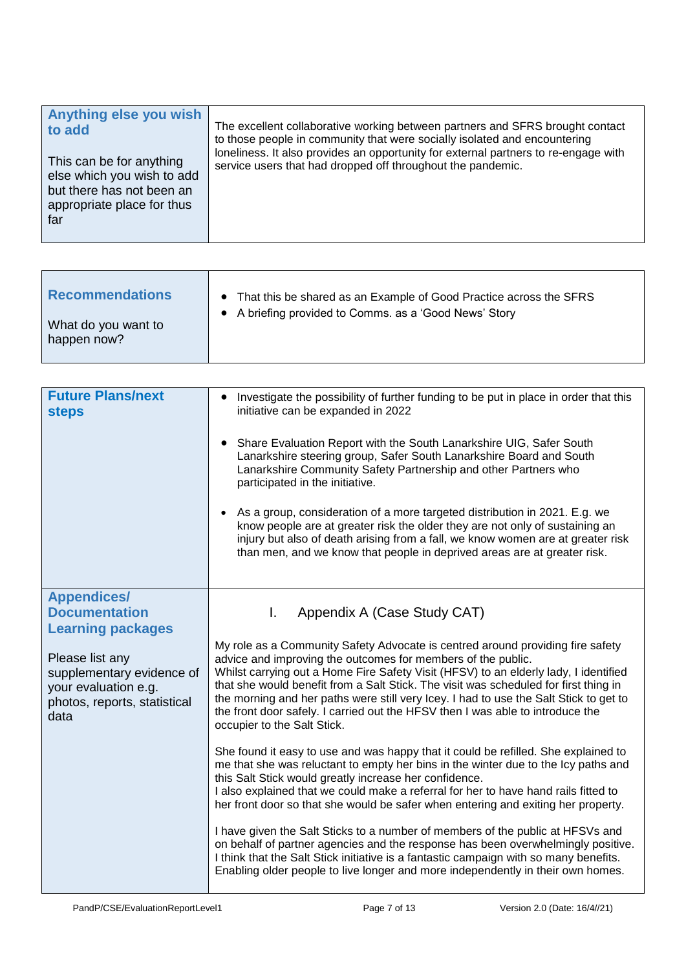| <b>Anything else you wish</b><br>to add<br>This can be for anything<br>else which you wish to add<br>but there has not been an<br>appropriate place for thus<br>far | The excellent collaborative working between partners and SFRS brought contact<br>to those people in community that were socially isolated and encountering<br>loneliness. It also provides an opportunity for external partners to re-engage with<br>service users that had dropped off throughout the pandemic. |
|---------------------------------------------------------------------------------------------------------------------------------------------------------------------|------------------------------------------------------------------------------------------------------------------------------------------------------------------------------------------------------------------------------------------------------------------------------------------------------------------|
|                                                                                                                                                                     |                                                                                                                                                                                                                                                                                                                  |

| <b>Recommendations</b><br>What do you want to<br>happen now? | • That this be shared as an Example of Good Practice across the SFRS<br>• A briefing provided to Comms. as a 'Good News' Story |
|--------------------------------------------------------------|--------------------------------------------------------------------------------------------------------------------------------|
|--------------------------------------------------------------|--------------------------------------------------------------------------------------------------------------------------------|

| <b>Future Plans/next</b><br><b>steps</b>                                                                     | Investigate the possibility of further funding to be put in place in order that this<br>$\bullet$<br>initiative can be expanded in 2022                                                                                                                                                                                                                                                                                                                                                                                                  |
|--------------------------------------------------------------------------------------------------------------|------------------------------------------------------------------------------------------------------------------------------------------------------------------------------------------------------------------------------------------------------------------------------------------------------------------------------------------------------------------------------------------------------------------------------------------------------------------------------------------------------------------------------------------|
|                                                                                                              | Share Evaluation Report with the South Lanarkshire UIG, Safer South<br>$\bullet$<br>Lanarkshire steering group, Safer South Lanarkshire Board and South<br>Lanarkshire Community Safety Partnership and other Partners who<br>participated in the initiative.                                                                                                                                                                                                                                                                            |
|                                                                                                              | As a group, consideration of a more targeted distribution in 2021. E.g. we<br>$\bullet$<br>know people are at greater risk the older they are not only of sustaining an<br>injury but also of death arising from a fall, we know women are at greater risk<br>than men, and we know that people in deprived areas are at greater risk.                                                                                                                                                                                                   |
| <b>Appendices/</b>                                                                                           |                                                                                                                                                                                                                                                                                                                                                                                                                                                                                                                                          |
| <b>Documentation</b>                                                                                         | Appendix A (Case Study CAT)<br>Τ.                                                                                                                                                                                                                                                                                                                                                                                                                                                                                                        |
| <b>Learning packages</b>                                                                                     |                                                                                                                                                                                                                                                                                                                                                                                                                                                                                                                                          |
| Please list any<br>supplementary evidence of<br>your evaluation e.g.<br>photos, reports, statistical<br>data | My role as a Community Safety Advocate is centred around providing fire safety<br>advice and improving the outcomes for members of the public.<br>Whilst carrying out a Home Fire Safety Visit (HFSV) to an elderly lady, I identified<br>that she would benefit from a Salt Stick. The visit was scheduled for first thing in<br>the morning and her paths were still very lcey. I had to use the Salt Stick to get to<br>the front door safely. I carried out the HFSV then I was able to introduce the<br>occupier to the Salt Stick. |
|                                                                                                              | She found it easy to use and was happy that it could be refilled. She explained to<br>me that she was reluctant to empty her bins in the winter due to the lcy paths and<br>this Salt Stick would greatly increase her confidence.<br>I also explained that we could make a referral for her to have hand rails fitted to<br>her front door so that she would be safer when entering and exiting her property.                                                                                                                           |
|                                                                                                              | I have given the Salt Sticks to a number of members of the public at HFSVs and<br>on behalf of partner agencies and the response has been overwhelmingly positive.<br>I think that the Salt Stick initiative is a fantastic campaign with so many benefits.<br>Enabling older people to live longer and more independently in their own homes.                                                                                                                                                                                           |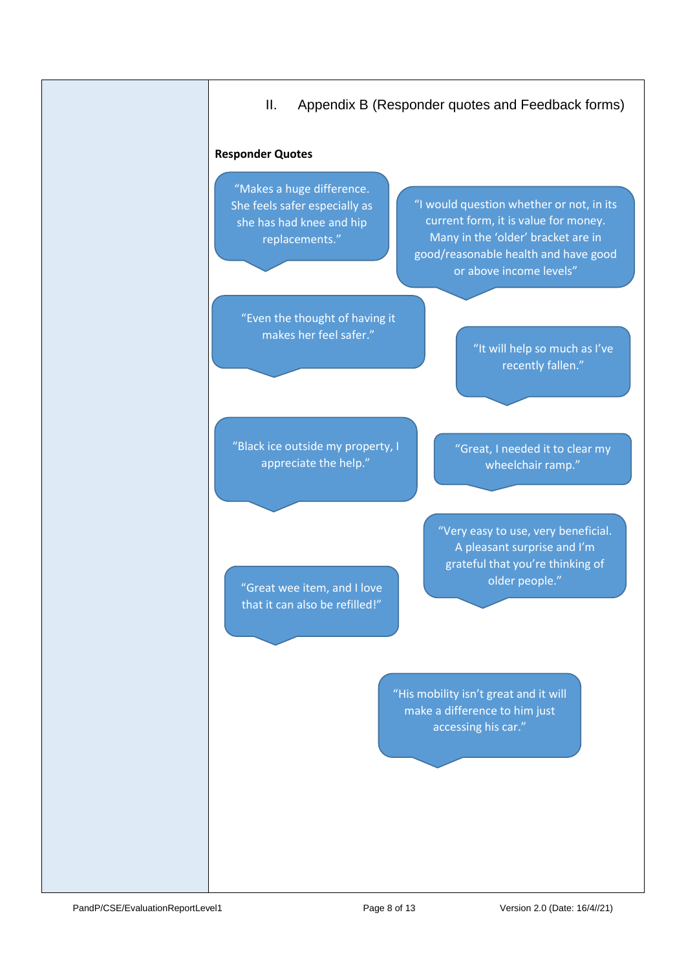## II. Appendix B (Responder quotes and Feedback forms)

#### **Responder Quotes**

"Makes a huge difference. She feels safer especially as she has had knee and hip replacements."

"Even the thought of having it makes her feel safer."

"I would question whether or not, in its current form, it is value for money. Many in the 'older' bracket are in good/reasonable health and have good or above income levels"

> "It will help so much as I've recently fallen."

"Black ice outside my property, I appreciate the help."

"Great, I needed it to clear my wheelchair ramp."

"Great wee item, and I love that it can also be refilled!"

"Very easy to use, very beneficial. A pleasant surprise and I'm grateful that you're thinking of older people."

"His mobility isn't great and it will make a difference to him just accessing his car."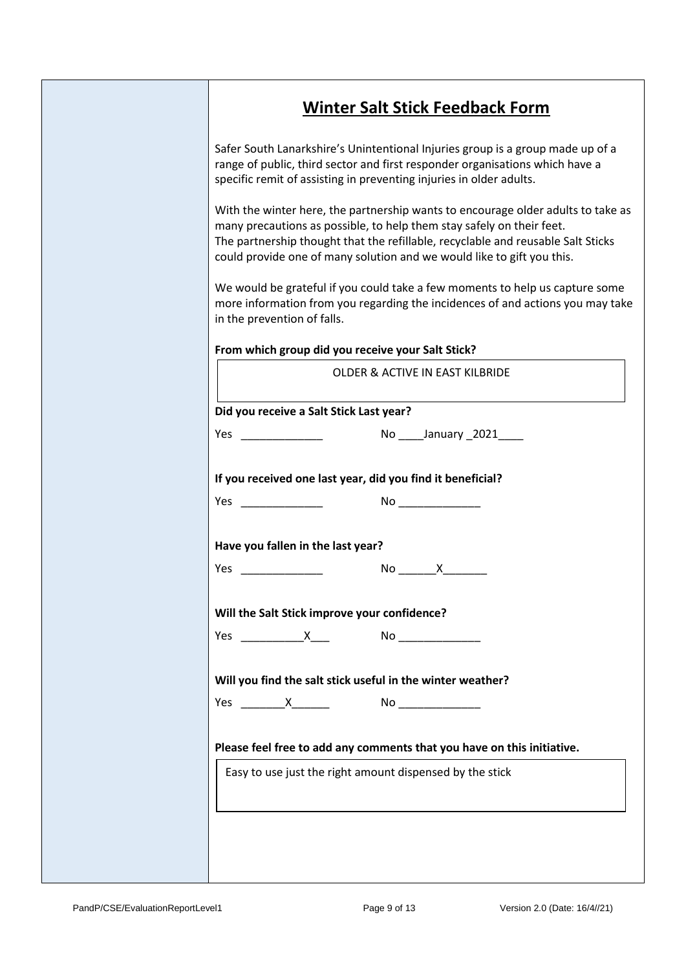# **Winter Salt Stick Feedback Form**

Safer South Lanarkshire's Unintentional Injuries group is a group made up of a range of public, third sector and first responder organisations which have a specific remit of assisting in preventing injuries in older adults.

With the winter here, the partnership wants to encourage older adults to take as many precautions as possible, to help them stay safely on their feet. The partnership thought that the refillable, recyclable and reusable Salt Sticks could provide one of many solution and we would like to gift you this.

We would be grateful if you could take a few moments to help us capture some more information from you regarding the incidences of and actions you may take in the prevention of falls.

|  |  | From which group did you receive your Salt Stick? |
|--|--|---------------------------------------------------|
|--|--|---------------------------------------------------|

| Did you receive a Salt Stick Last year? |                                                                        |
|-----------------------------------------|------------------------------------------------------------------------|
|                                         |                                                                        |
|                                         | If you received one last year, did you find it beneficial?             |
|                                         |                                                                        |
| Have you fallen in the last year?       |                                                                        |
|                                         |                                                                        |
|                                         | Will the Salt Stick improve your confidence?                           |
|                                         |                                                                        |
|                                         | Will you find the salt stick useful in the winter weather?             |
|                                         |                                                                        |
|                                         | Please feel free to add any comments that you have on this initiative. |
|                                         | Easy to use just the right amount dispensed by the stick               |
|                                         |                                                                        |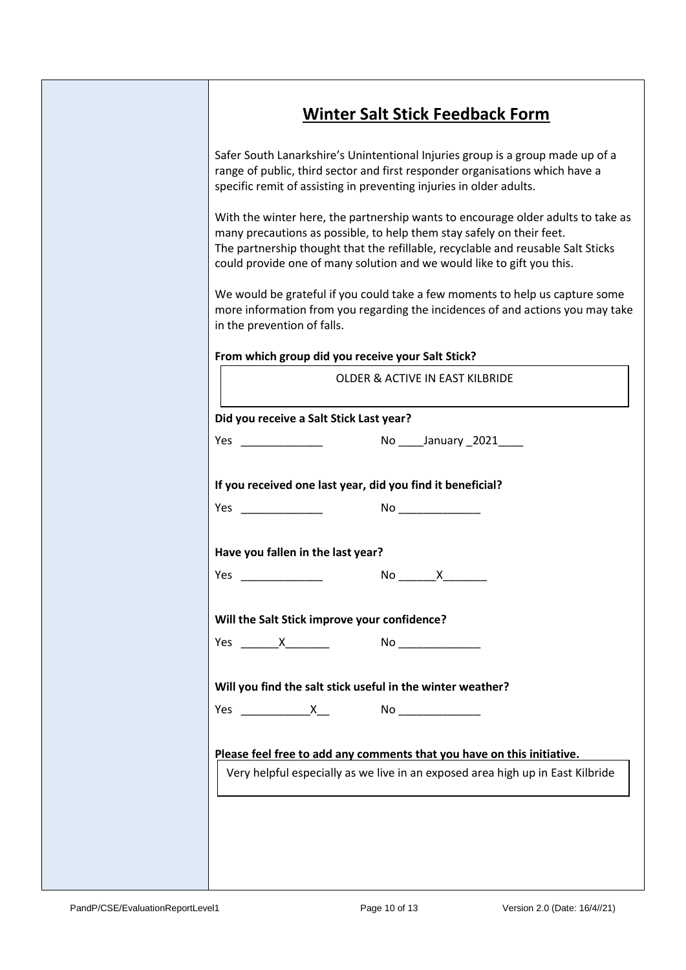# **Winter Salt Stick Feedback Form**

Safer South Lanarkshire's Unintentional Injuries group is a group made up of a range of public, third sector and first responder organisations which have a specific remit of assisting in preventing injuries in older adults.

With the winter here, the partnership wants to encourage older adults to take as many precautions as possible, to help them stay safely on their feet. The partnership thought that the refillable, recyclable and reusable Salt Sticks could provide one of many solution and we would like to gift you this.

We would be grateful if you could take a few moments to help us capture some more information from you regarding the incidences of and actions you may take in the prevention of falls.

| From which group did you receive your Salt Stick? |  |  |
|---------------------------------------------------|--|--|
|---------------------------------------------------|--|--|

| Did you receive a Salt Stick Last year? |                                                                                |
|-----------------------------------------|--------------------------------------------------------------------------------|
|                                         |                                                                                |
|                                         | If you received one last year, did you find it beneficial?                     |
| Yes                                     |                                                                                |
| Have you fallen in the last year?       |                                                                                |
|                                         |                                                                                |
|                                         | Will the Salt Stick improve your confidence?                                   |
|                                         | Will you find the salt stick useful in the winter weather?                     |
|                                         |                                                                                |
|                                         | Please feel free to add any comments that you have on this initiative.         |
|                                         | Very helpful especially as we live in an exposed area high up in East Kilbride |
|                                         |                                                                                |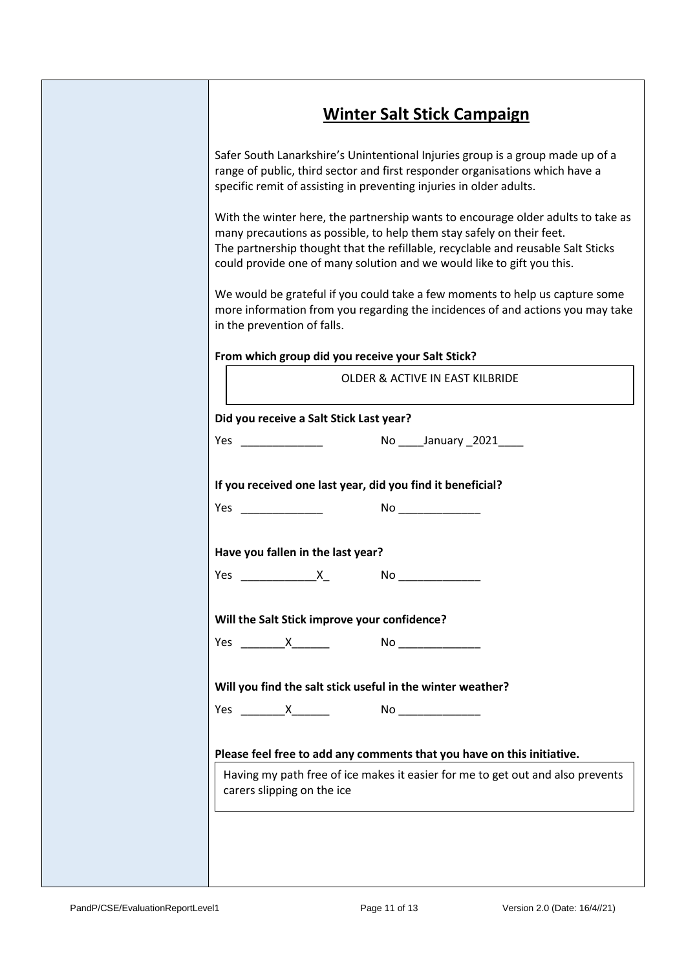# **Winter Salt Stick Campaign**

Safer South Lanarkshire's Unintentional Injuries group is a group made up of a range of public, third sector and first responder organisations which have a specific remit of assisting in preventing injuries in older adults.

With the winter here, the partnership wants to encourage older adults to take as many precautions as possible, to help them stay safely on their feet. The partnership thought that the refillable, recyclable and reusable Salt Sticks could provide one of many solution and we would like to gift you this.

We would be grateful if you could take a few moments to help us capture some more information from you regarding the incidences of and actions you may take in the prevention of falls.

| From which group did you receive your Salt Stick? |  |  |
|---------------------------------------------------|--|--|
|---------------------------------------------------|--|--|

| <b>Yes</b> and the set of the set of the set of the set of the set of the set of the set of the set of the set of the set of the set of the set of the set of the set of the set of the set of the set of the set of the set of the |                                          | No _____January _2021_____                                                     |  |
|-------------------------------------------------------------------------------------------------------------------------------------------------------------------------------------------------------------------------------------|------------------------------------------|--------------------------------------------------------------------------------|--|
| If you received one last year, did you find it beneficial?                                                                                                                                                                          |                                          |                                                                                |  |
| Yes                                                                                                                                                                                                                                 | $\mathsf{No} \xrightarrow{\hspace{3em}}$ |                                                                                |  |
| Have you fallen in the last year?                                                                                                                                                                                                   |                                          |                                                                                |  |
| Yes X                                                                                                                                                                                                                               | $\mathsf{No} \_\_\_\_\_\_\_\$            |                                                                                |  |
| Will the Salt Stick improve your confidence?                                                                                                                                                                                        |                                          |                                                                                |  |
| Yes X                                                                                                                                                                                                                               | $\mathsf{No} \_\_$                       |                                                                                |  |
| Will you find the salt stick useful in the winter weather?                                                                                                                                                                          |                                          |                                                                                |  |
| Yes X                                                                                                                                                                                                                               | $\mathsf{No} \_\_$                       |                                                                                |  |
|                                                                                                                                                                                                                                     |                                          | Please feel free to add any comments that you have on this initiative.         |  |
| carers slipping on the ice                                                                                                                                                                                                          |                                          | Having my path free of ice makes it easier for me to get out and also prevents |  |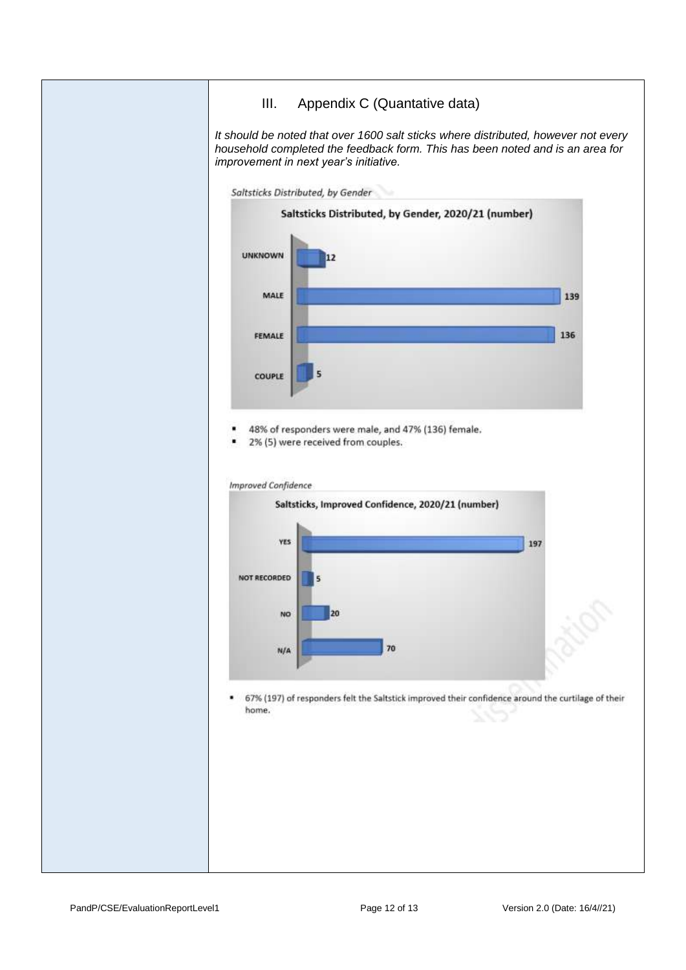## III. Appendix C (Quantative data)

*It should be noted that over 1600 salt sticks where distributed, however not every household completed the feedback form. This has been noted and is an area for improvement in next year's initiative.*